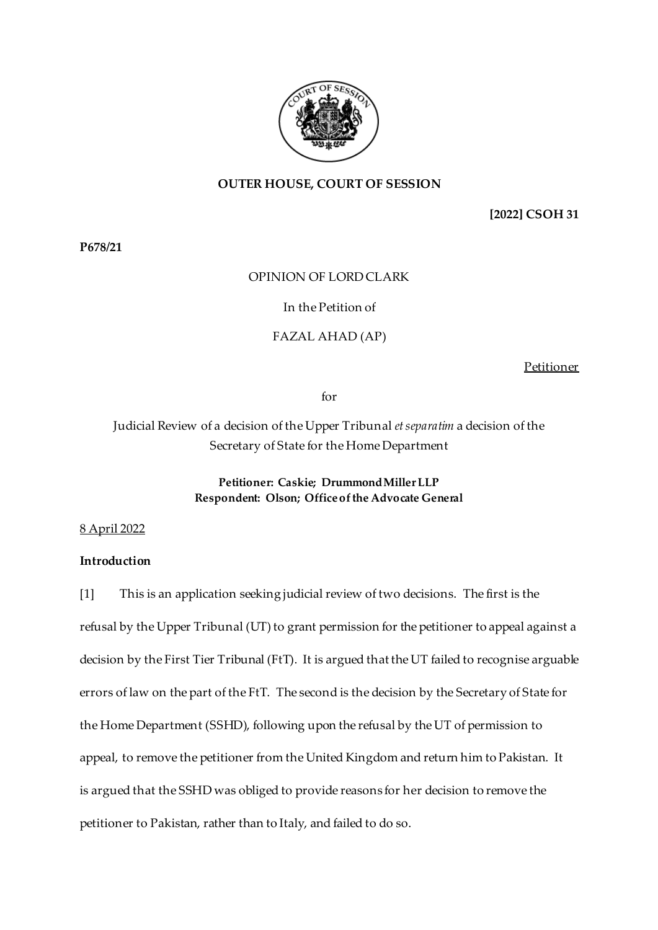

### **OUTER HOUSE, COURT OF SESSION**

**[2022] CSOH 31**

**P678/21**

### OPINION OF LORD CLARK

### In the Petition of

#### FAZAL AHAD (AP)

Petitioner

for

# Judicial Review of a decision of the Upper Tribunal *et separatim* a decision of the Secretary of State for the Home Department

# **Petitioner: Caskie; Drummond Miller LLP Respondent: Olson; Office of the Advocate General**

#### 8 April 2022

### **Introduction**

[1] This is an application seeking judicial review of two decisions. The first is the refusal by the Upper Tribunal (UT) to grant permission for the petitioner to appeal against a decision by the First Tier Tribunal (FtT). It is argued that the UT failed to recognise arguable errors of law on the part of the FtT. The second is the decision by the Secretary of State for the Home Department (SSHD), following upon the refusal by the UT of permission to appeal, to remove the petitioner from the United Kingdom and return him to Pakistan. It is argued that the SSHD was obliged to provide reasons for her decision to remove the petitioner to Pakistan, rather than to Italy, and failed to do so.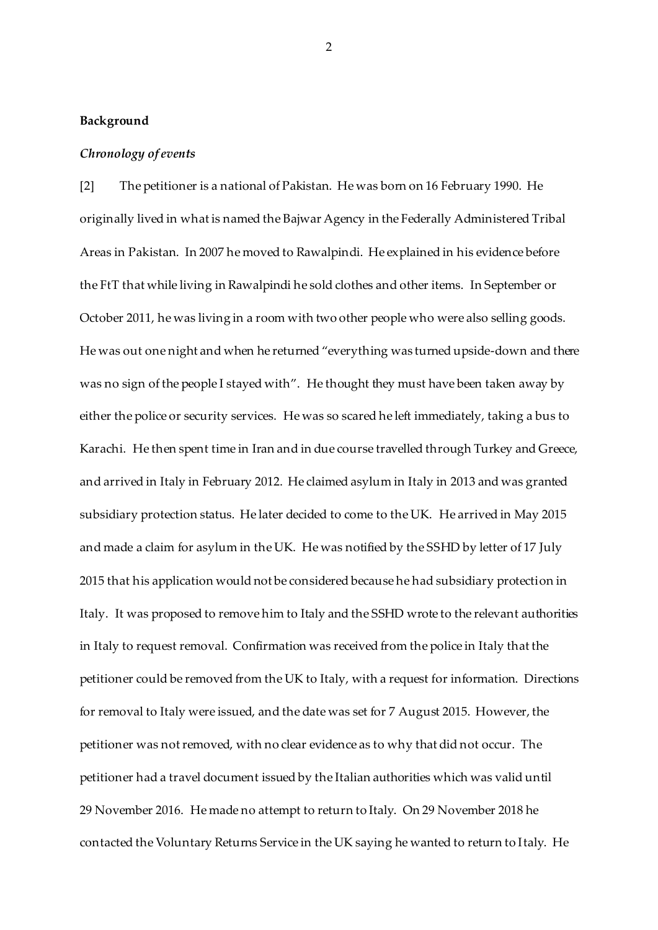#### **Background**

#### *Chronology of events*

[2] The petitioner is a national of Pakistan. He was born on 16 February 1990. He originally lived in what is named the Bajwar Agency in the Federally Administered Tribal Areas in Pakistan. In 2007 he moved to Rawalpindi. He explained in his evidence before the FtT that while living in Rawalpindi he sold clothes and other items. In September or October 2011, he was living in a room with two other people who were also selling goods. He was out one night and when he returned "everything was turned upside-down and there was no sign of the people I stayed with". He thought they must have been taken away by either the police or security services. He was so scared he left immediately, taking a bus to Karachi. He then spent time in Iran and in due course travelled through Turkey and Greece, and arrived in Italy in February 2012. He claimed asylum in Italy in 2013 and was granted subsidiary protection status. He later decided to come to the UK. He arrived in May 2015 and made a claim for asylum in the UK. He was notified by the SSHD by letter of 17 July 2015 that his application would not be considered because he had subsidiary protection in Italy. It was proposed to remove him to Italy and the SSHD wrote to the relevant authorities in Italy to request removal. Confirmation was received from the police in Italy that the petitioner could be removed from the UK to Italy, with a request for information. Directions for removal to Italy were issued, and the date was set for 7 August 2015. However, the petitioner was not removed, with no clear evidence as to why that did not occur. The petitioner had a travel document issued by the Italian authorities which was valid until 29 November 2016. He made no attempt to return to Italy. On 29 November 2018 he contacted the Voluntary Returns Service in the UK saying he wanted to return to Italy. He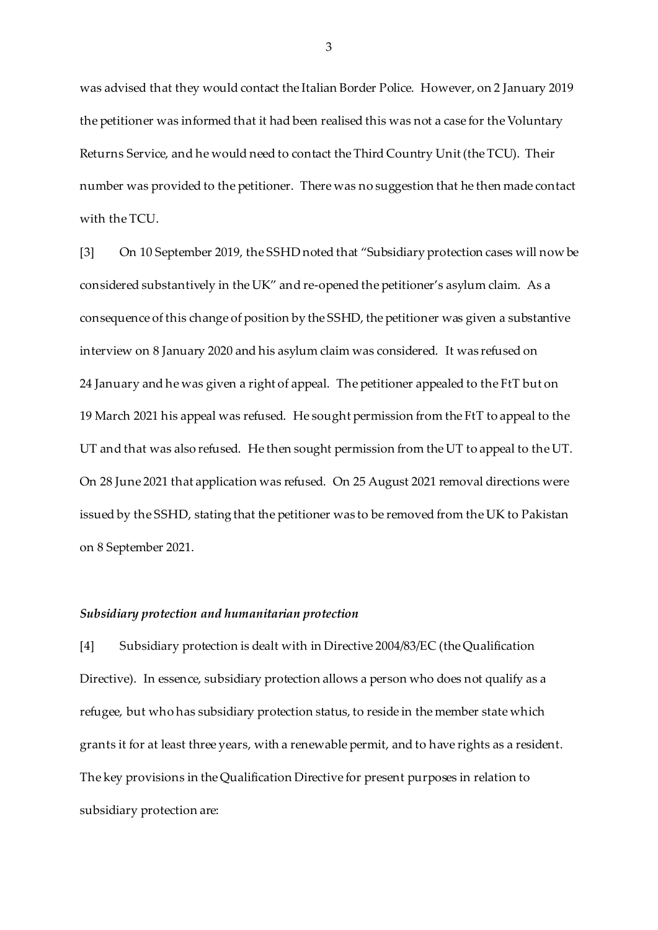was advised that they would contact the Italian Border Police. However, on 2 January 2019 the petitioner was informed that it had been realised this was not a case for the Voluntary Returns Service, and he would need to contact the Third Country Unit (the TCU). Their number was provided to the petitioner. There was no suggestion that he then made contact with the TCU.

[3] On 10 September 2019, the SSHD noted that "Subsidiary protection cases will now be considered substantively in the UK" and re-opened the petitioner's asylum claim. As a consequence of this change of position by the SSHD, the petitioner was given a substantive interview on 8 January 2020 and his asylum claim was considered. It was refused on 24 January and he was given a right of appeal. The petitioner appealed to the FtT but on 19 March 2021 his appeal was refused. He sought permission from the FtT to appeal to the UT and that was also refused. He then sought permission from the UT to appeal to the UT. On 28 June 2021 that application was refused. On 25 August 2021 removal directions were issued by the SSHD, stating that the petitioner was to be removed from the UK to Pakistan on 8 September 2021.

#### *Subsidiary protection and humanitarian protection*

[4] Subsidiary protection is dealt with in Directive 2004/83/EC (the Qualification Directive). In essence, subsidiary protection allows a person who does not qualify as a refugee, but who has subsidiary protection status, to reside in the member state which grants it for at least three years, with a renewable permit, and to have rights as a resident. The key provisions in the Qualification Directive for present purposes in relation to subsidiary protection are: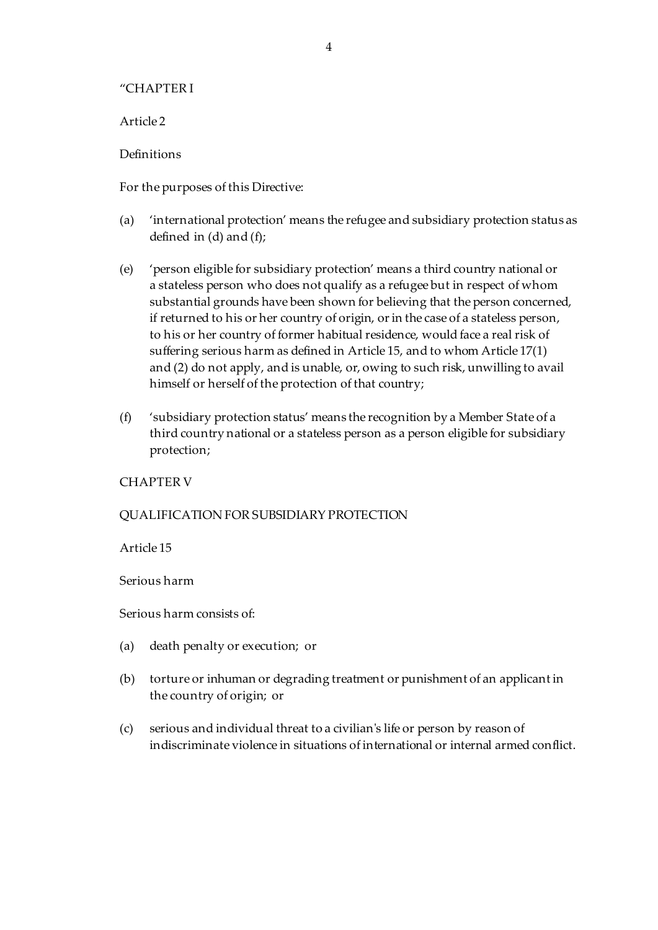### "CHAPTER I

Article 2

Definitions

For the purposes of this Directive:

- (a) 'international protection' means the refugee and subsidiary protection status as defined in  $(d)$  and  $(f)$ ;
- (e) 'person eligible for subsidiary protection' means a third country national or a stateless person who does not qualify as a refugee but in respect of whom substantial grounds have been shown for believing that the person concerned, if returned to his or her country of origin, or in the case of a stateless person, to his or her country of former habitual residence, would face a real risk of suffering serious harm as defined in Article 15, and to whom Article 17(1) and (2) do not apply, and is unable, or, owing to such risk, unwilling to avail himself or herself of the protection of that country;
- (f) 'subsidiary protection status' means the recognition by a Member State of a third country national or a stateless person as a person eligible for subsidiary protection;

# CHAPTER V

# QUALIFICATION FOR SUBSIDIARY PROTECTION

Article 15

Serious harm

Serious harm consists of:

- (a) death penalty or execution; or
- (b) torture or inhuman or degrading treatment or punishment of an applicant in the country of origin; or
- (c) serious and individual threat to a civilian's life or person by reason of indiscriminate violence in situations of international or internal armed conflict.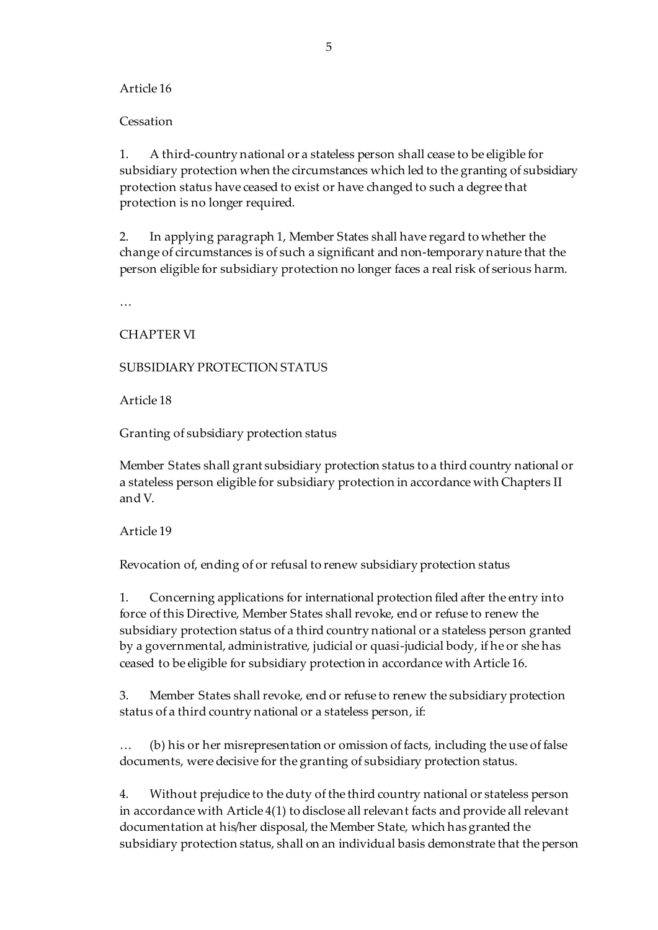### Article 16

### **Cessation**

1. A third-country national or a stateless person shall cease to be eligible for subsidiary protection when the circumstances which led to the granting of subsidiary protection status have ceased to exist or have changed to such a degree that protection is no longer required.

2. In applying paragraph 1, Member States shall have regard to whether the change of circumstances is of such a significant and non-temporary nature that the person eligible for subsidiary protection no longer faces a real risk of serious harm.

…

CHAPTER VI

# SUBSIDIARY PROTECTION STATUS

Article 18

Granting of subsidiary protection status

Member States shall grant subsidiary protection status to a third country national or a stateless person eligible for subsidiary protection in accordance with Chapters II and V.

### Article 19

Revocation of, ending of or refusal to renew subsidiary protection status

1. Concerning applications for international protection filed after the entry into force of this Directive, Member States shall revoke, end or refuse to renew the subsidiary protection status of a third country national or a stateless person granted by a governmental, administrative, judicial or quasi-judicial body, if he or she has ceased to be eligible for subsidiary protection in accordance with Article 16.

3. Member States shall revoke, end or refuse to renew the subsidiary protection status of a third country national or a stateless person, if:

… (b) his or her misrepresentation or omission of facts, including the use of false documents, were decisive for the granting of subsidiary protection status.

4. Without prejudice to the duty of the third country national or stateless person in accordance with Article 4(1) to disclose all relevant facts and provide all relevant documentation at his/her disposal, the Member State, which has granted the subsidiary protection status, shall on an individual basis demonstrate that the person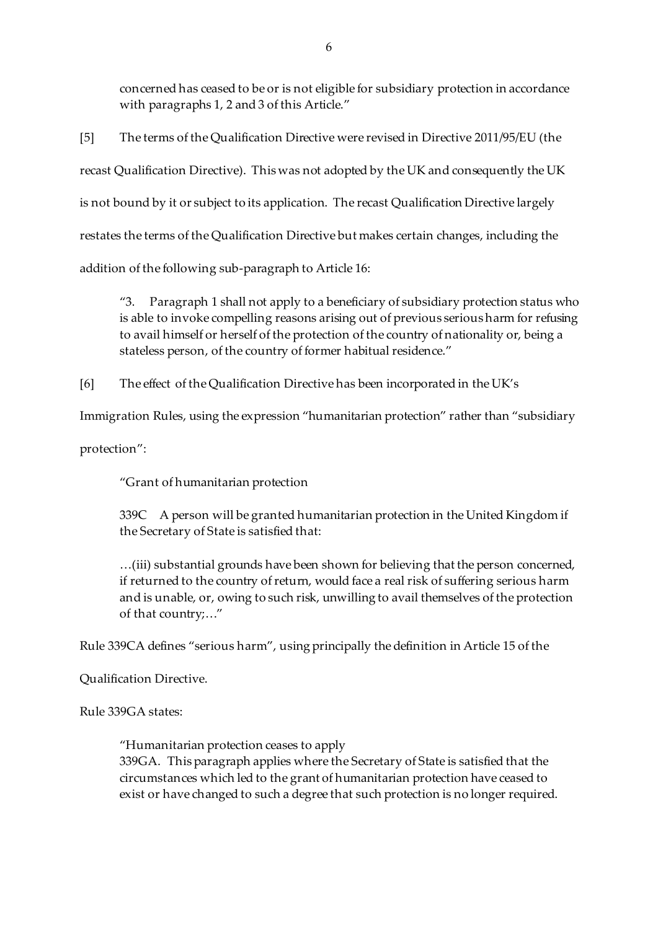concerned has ceased to be or is not eligible for subsidiary protection in accordance with paragraphs 1, 2 and 3 of this Article."

[5] The terms of the Qualification Directive were revised in Directive 2011/95/EU (the recast Qualification Directive). This was not adopted by the UK and consequently the UK is not bound by it or subject to its application. The recast Qualification Directive largely restates the terms of the Qualification Directive but makes certain changes, including the addition of the following sub-paragraph to Article 16:

"3. Paragraph 1 shall not apply to a beneficiary of subsidiary protection status who is able to invoke compelling reasons arising out of previous serious harm for refusing to avail himself or herself of the protection of the country of nationality or, being a stateless person, of the country of former habitual residence."

[6] The effect of the Qualification Directive has been incorporated in the UK's

Immigration Rules, using the expression "humanitarian protection" rather than "subsidiary

protection":

"Grant of humanitarian protection

339C A person will be granted humanitarian protection in the United Kingdom if the Secretary of State is satisfied that:

…(iii) substantial grounds have been shown for believing that the person concerned, if returned to the country of return, would face a real risk of suffering serious harm and is unable, or, owing to such risk, unwilling to avail themselves of the protection of that country;…"

Rule 339CA defines "serious harm", using principally the definition in Article 15 of the

Qualification Directive.

Rule 339GA states:

"Humanitarian protection ceases to apply 339GA. This paragraph applies where the Secretary of State is satisfied that the circumstances which led to the grant of humanitarian protection have ceased to exist or have changed to such a degree that such protection is no longer required.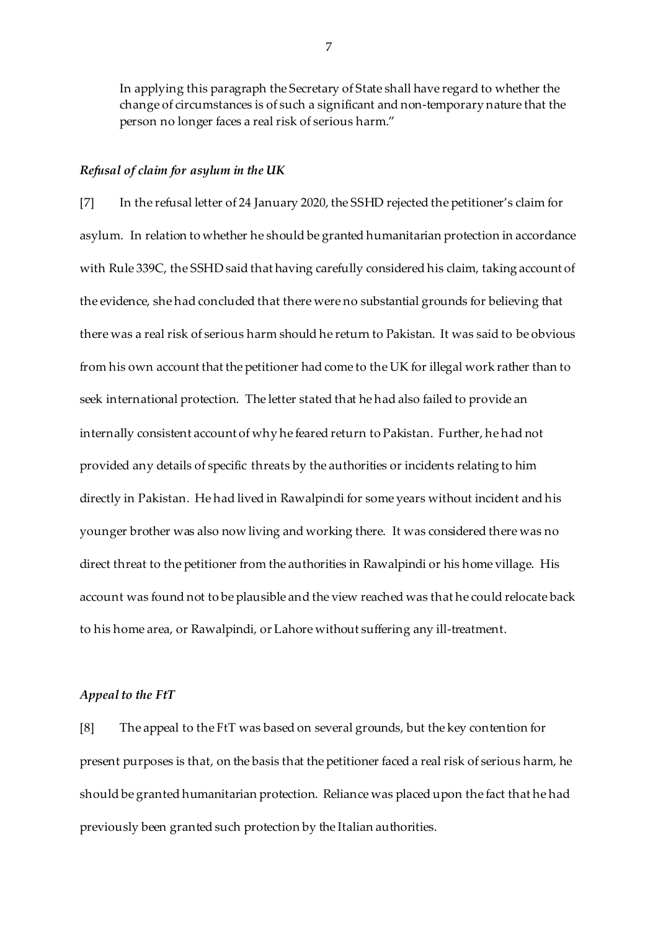In applying this paragraph the Secretary of State shall have regard to whether the change of circumstances is of such a significant and non-temporary nature that the person no longer faces a real risk of serious harm."

#### *Refusal of claim for asylum in the UK*

[7] In the refusal letter of 24 January 2020, the SSHD rejected the petitioner's claim for asylum. In relation to whether he should be granted humanitarian protection in accordance with Rule 339C, the SSHD said that having carefully considered his claim, taking account of the evidence, she had concluded that there were no substantial grounds for believing that there was a real risk of serious harm should he return to Pakistan. It was said to be obvious from his own account that the petitioner had come to the UK for illegal work rather than to seek international protection. The letter stated that he had also failed to provide an internally consistent account of why he feared return to Pakistan. Further, he had not provided any details of specific threats by the authorities or incidents relating to him directly in Pakistan. He had lived in Rawalpindi for some years without incident and his younger brother was also now living and working there. It was considered there was no direct threat to the petitioner from the authorities in Rawalpindi or his home village. His account was found not to be plausible and the view reached was that he could relocate back to his home area, or Rawalpindi, or Lahore without suffering any ill-treatment.

#### *Appeal to the FtT*

[8] The appeal to the FtT was based on several grounds, but the key contention for present purposes is that, on the basis that the petitioner faced a real risk of serious harm, he should be granted humanitarian protection. Reliance was placed upon the fact that he had previously been granted such protection by the Italian authorities.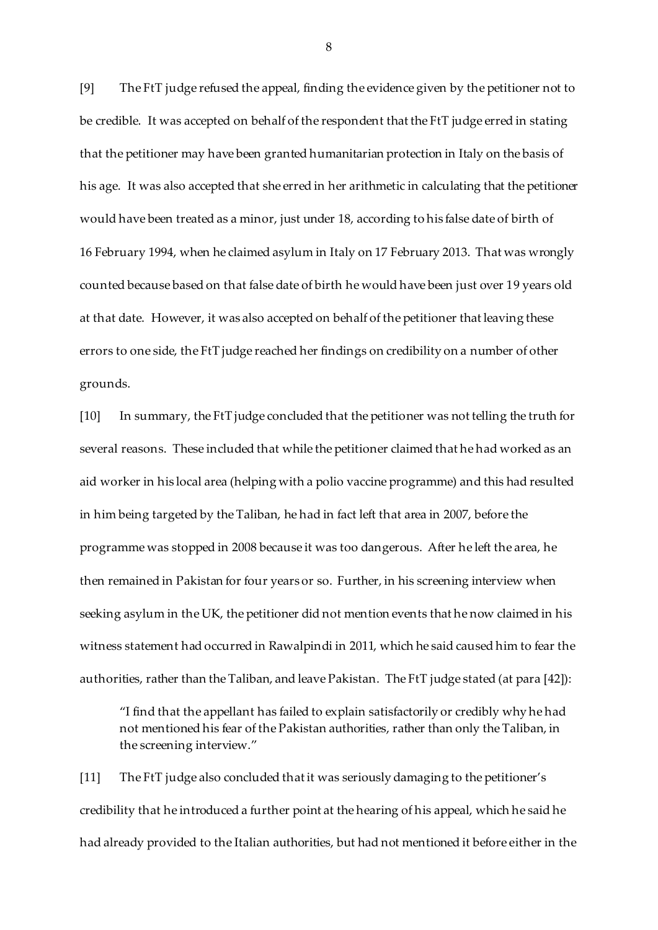[9] The FtT judge refused the appeal, finding the evidence given by the petitioner not to be credible. It was accepted on behalf of the respondent that the FtT judge erred in stating that the petitioner may have been granted humanitarian protection in Italy on the basis of his age. It was also accepted that she erred in her arithmetic in calculating that the petitioner would have been treated as a minor, just under 18, according to his false date of birth of 16 February 1994, when he claimed asylum in Italy on 17 February 2013. That was wrongly counted because based on that false date of birth he would have been just over 19 years old at that date. However, it was also accepted on behalf of the petitioner that leaving these errors to one side, the FtT judge reached her findings on credibility on a number of other grounds.

[10] In summary, the FtT judge concluded that the petitioner was not telling the truth for several reasons. These included that while the petitioner claimed that he had worked as an aid worker in his local area (helping with a polio vaccine programme) and this had resulted in him being targeted by the Taliban, he had in fact left that area in 2007, before the programme was stopped in 2008 because it was too dangerous. After he left the area, he then remained in Pakistan for four years or so. Further, in his screening interview when seeking asylum in the UK, the petitioner did not mention events that he now claimed in his witness statement had occurred in Rawalpindi in 2011, which he said caused him to fear the authorities, rather than the Taliban, and leave Pakistan. The FtT judge stated (at para [42]):

"I find that the appellant has failed to explain satisfactorily or credibly why he had not mentioned his fear of the Pakistan authorities, rather than only the Taliban, in the screening interview."

[11] The FtT judge also concluded that it was seriously damaging to the petitioner's credibility that he introduced a further point at the hearing of his appeal, which he said he had already provided to the Italian authorities, but had not mentioned it before either in the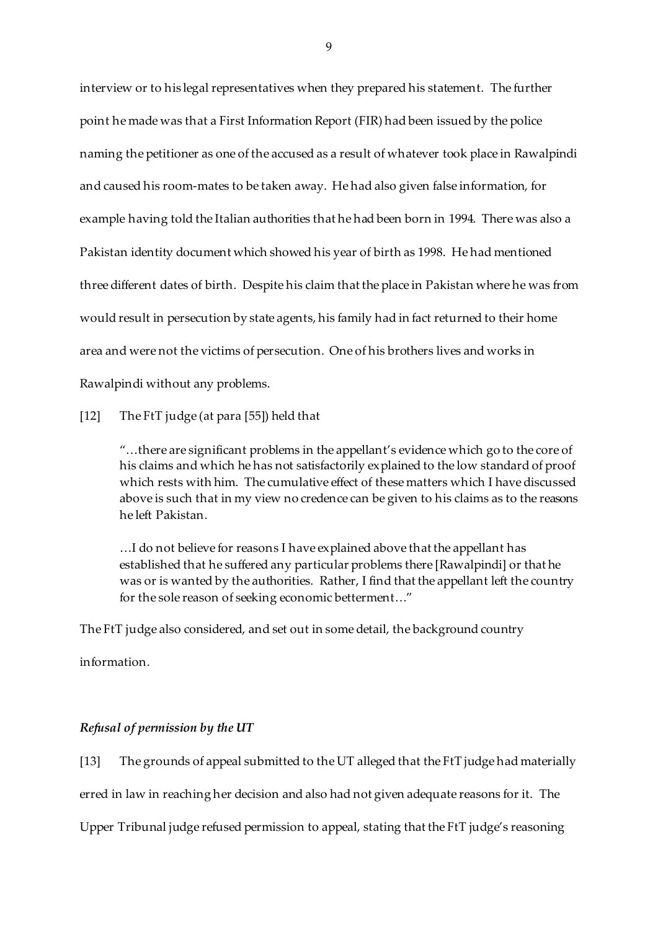interview or to his legal representatives when they prepared his statement. The further point he made was that a First Information Report (FIR) had been issued by the police naming the petitioner as one of the accused as a result of whatever took place in Rawalpindi and caused his room-mates to be taken away. He had also given false information, for example having told the Italian authorities that he had been born in 1994. There was also a Pakistan identity document which showed his year of birth as 1998. He had mentioned three different dates of birth. Despite his claim that the place in Pakistan where he was from would result in persecution by state agents, his family had in fact returned to their home area and were not the victims of persecution. One of his brothers lives and works in Rawalpindi without any problems.

[12] The FtT judge (at para [55]) held that

"…there are significant problems in the appellant's evidence which go to the core of his claims and which he has not satisfactorily explained to the low standard of proof which rests with him. The cumulative effect of these matters which I have discussed above is such that in my view no credence can be given to his claims as to the reasons he left Pakistan.

…I do not believe for reasons I have explained above that the appellant has established that he suffered any particular problems there [Rawalpindi] or that he was or is wanted by the authorities. Rather, I find that the appellant left the country for the sole reason of seeking economic betterment…"

The FtT judge also considered, and set out in some detail, the background country

information.

### *Refusal of permission by the UT*

[13] The grounds of appeal submitted to the UT alleged that the FtT judge had materially erred in law in reaching her decision and also had not given adequate reasons for it. The

Upper Tribunal judge refused permission to appeal, stating that the FtT judge's reasoning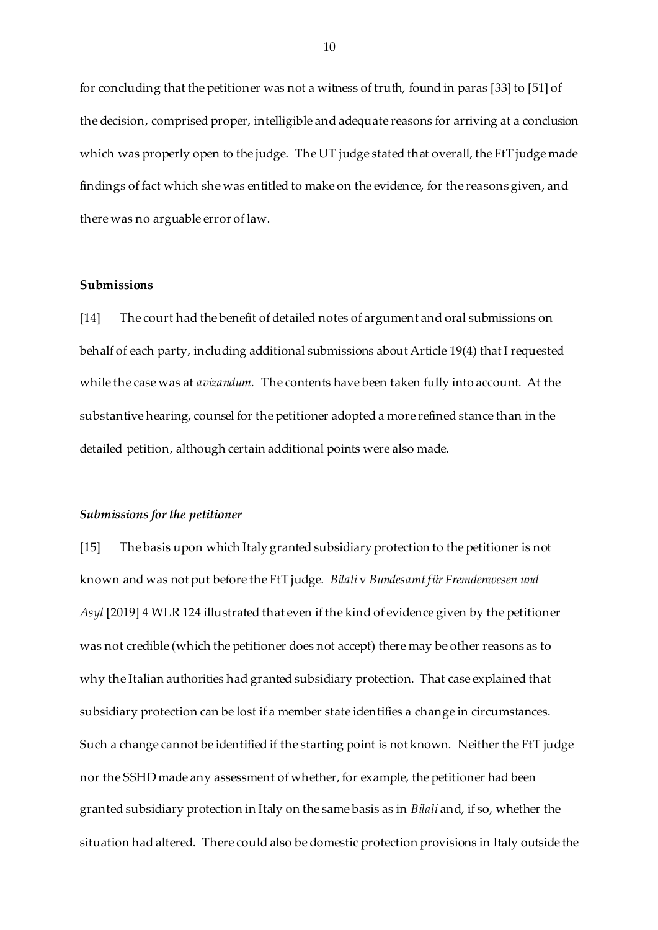for concluding that the petitioner was not a witness of truth, found in paras [33] to [51] of the decision, comprised proper, intelligible and adequate reasons for arriving at a conclusion which was properly open to the judge. The UT judge stated that overall, the FtT judge made findings of fact which she was entitled to make on the evidence, for the reasons given, and there was no arguable error of law.

### **Submissions**

[14] The court had the benefit of detailed notes of argument and oral submissions on behalf of each party, including additional submissions about Article 19(4) that I requested while the case was at *avizandum.* The contents have been taken fully into account. At the substantive hearing, counsel for the petitioner adopted a more refined stance than in the detailed petition, although certain additional points were also made.

#### *Submissions for the petitioner*

[15] The basis upon which Italy granted subsidiary protection to the petitioner is not known and was not put before the FtT judge. *Bilali* v *Bundesamt für Fremdenwesen und Asyl* [2019] 4 WLR 124 illustrated that even if the kind of evidence given by the petitioner was not credible (which the petitioner does not accept) there may be other reasons as to why the Italian authorities had granted subsidiary protection. That case explained that subsidiary protection can be lost if a member state identifies a change in circumstances. Such a change cannot be identified if the starting point is not known. Neither the FtT judge nor the SSHD made any assessment of whether, for example, the petitioner had been granted subsidiary protection in Italy on the same basis as in *Bilali* and, if so, whether the situation had altered. There could also be domestic protection provisions in Italy outside the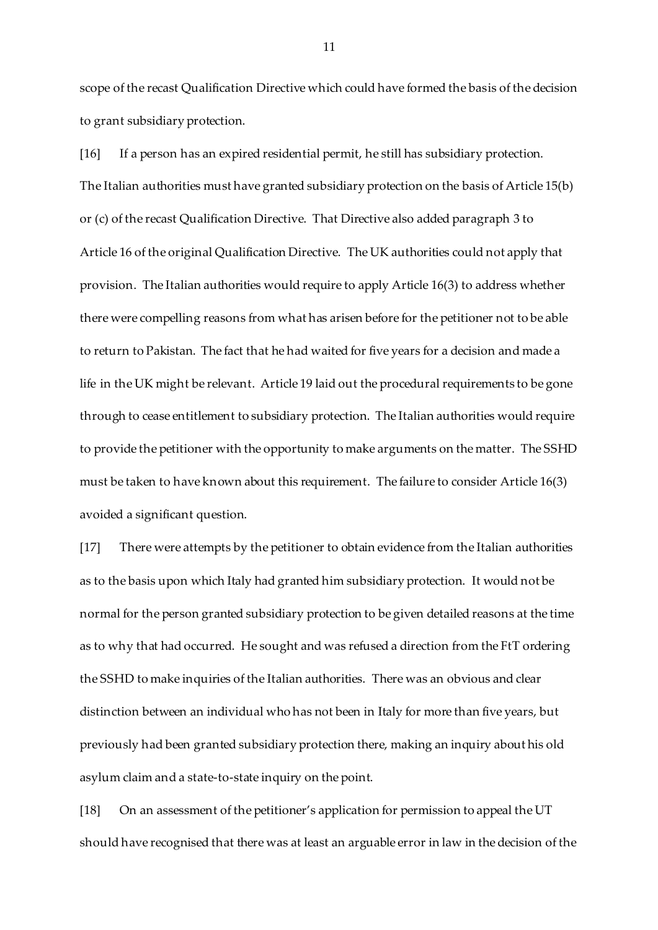scope of the recast Qualification Directive which could have formed the basis of the decision to grant subsidiary protection.

[16] If a person has an expired residential permit, he still has subsidiary protection. The Italian authorities must have granted subsidiary protection on the basis of Article 15(b) or (c) of the recast Qualification Directive. That Directive also added paragraph 3 to Article 16 of the original Qualification Directive. The UK authorities could not apply that provision. The Italian authorities would require to apply Article 16(3) to address whether there were compelling reasons from what has arisen before for the petitioner not to be able to return to Pakistan. The fact that he had waited for five years for a decision and made a life in the UK might be relevant. Article 19 laid out the procedural requirements to be gone through to cease entitlement to subsidiary protection. The Italian authorities would require to provide the petitioner with the opportunity to make arguments on the matter. The SSHD must be taken to have known about this requirement. The failure to consider Article 16(3) avoided a significant question.

[17] There were attempts by the petitioner to obtain evidence from the Italian authorities as to the basis upon which Italy had granted him subsidiary protection. It would not be normal for the person granted subsidiary protection to be given detailed reasons at the time as to why that had occurred. He sought and was refused a direction from the FtT ordering the SSHD to make inquiries of the Italian authorities. There was an obvious and clear distinction between an individual who has not been in Italy for more than five years, but previously had been granted subsidiary protection there, making an inquiry about his old asylum claim and a state-to-state inquiry on the point.

[18] On an assessment of the petitioner's application for permission to appeal the UT should have recognised that there was at least an arguable error in law in the decision of the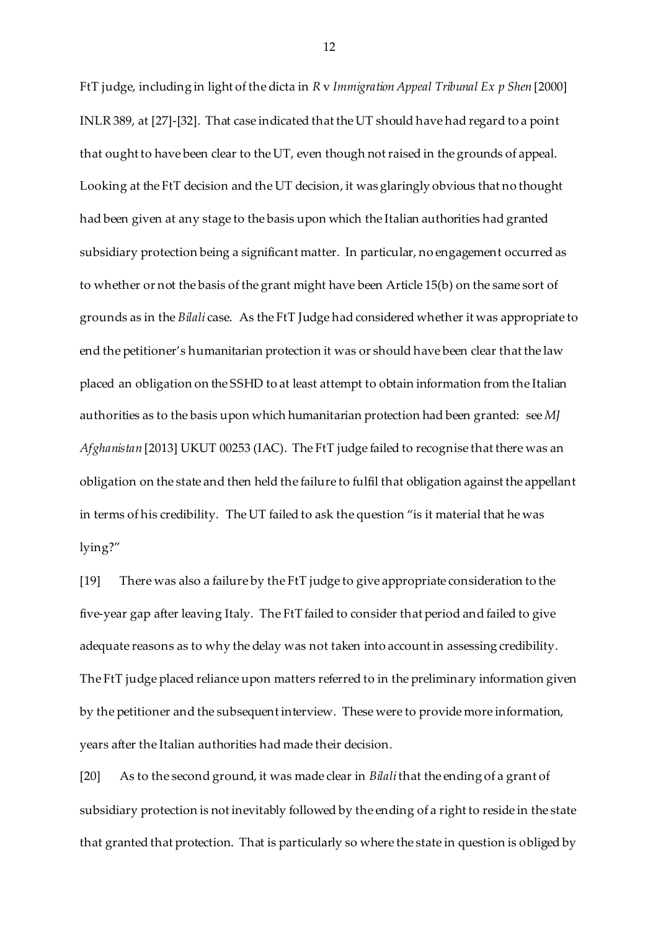FtT judge, including in light of the dicta in *R* v *Immigration Appeal Tribunal Ex p Shen* [2000] INLR 389, at [27]-[32]. That case indicated that the UT should have had regard to a point that ought to have been clear to the UT, even though not raised in the grounds of appeal. Looking at the FtT decision and the UT decision, it was glaringly obvious that no thought had been given at any stage to the basis upon which the Italian authorities had granted subsidiary protection being a significant matter. In particular, no engagement occurred as to whether or not the basis of the grant might have been Article 15(b) on the same sort of grounds as in the *Bilali* case. As the FtT Judge had considered whether it was appropriate to end the petitioner's humanitarian protection it was or should have been clear that the law placed an obligation on the SSHD to at least attempt to obtain information from the Italian authorities as to the basis upon which humanitarian protection had been granted: see *MJ Afghanistan* [2013] UKUT 00253 (IAC). The FtT judge failed to recognise that there was an obligation on the state and then held the failure to fulfil that obligation against the appellant in terms of his credibility. The UT failed to ask the question "is it material that he was lying?"

[19] There was also a failure by the FtT judge to give appropriate consideration to the five-year gap after leaving Italy. The FtT failed to consider that period and failed to give adequate reasons as to why the delay was not taken into account in assessing credibility. The FtT judge placed reliance upon matters referred to in the preliminary information given by the petitioner and the subsequent interview. These were to provide more information, years after the Italian authorities had made their decision.

[20] As to the second ground, it was made clear in *Bilali*that the ending of a grant of subsidiary protection is not inevitably followed by the ending of a right to reside in the state that granted that protection. That is particularly so where the state in question is obliged by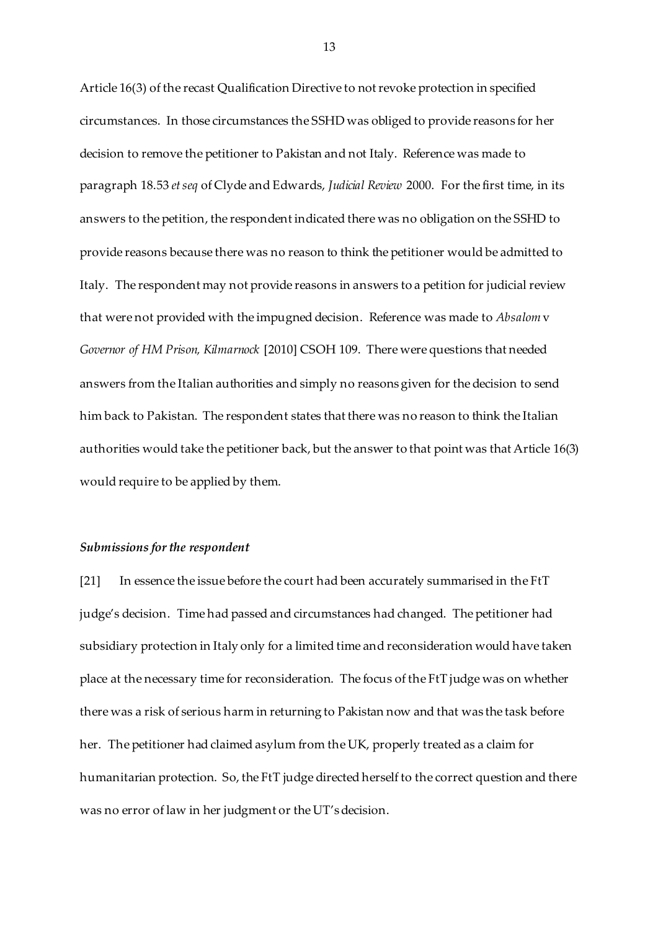Article 16(3) of the recast Qualification Directive to not revoke protection in specified circumstances. In those circumstances the SSHD was obliged to provide reasons for her decision to remove the petitioner to Pakistan and not Italy. Reference was made to paragraph 18.53 *et seq* of Clyde and Edwards, *Judicial Review* 2000. For the first time, in its answers to the petition, the respondent indicated there was no obligation on the SSHD to provide reasons because there was no reason to think the petitioner would be admitted to Italy. The respondent may not provide reasons in answers to a petition for judicial review that were not provided with the impugned decision. Reference was made to *Absalom* v *Governor of HM Prison, Kilmarnock* [2010] CSOH 109. There were questions that needed answers from the Italian authorities and simply no reasons given for the decision to send him back to Pakistan. The respondent states that there was no reason to think the Italian authorities would take the petitioner back, but the answer to that point was that Article 16(3) would require to be applied by them.

#### *Submissions for the respondent*

[21] In essence the issue before the court had been accurately summarised in the FtT judge's decision. Time had passed and circumstances had changed. The petitioner had subsidiary protection in Italy only for a limited time and reconsideration would have taken place at the necessary time for reconsideration. The focus of the FtT judge was on whether there was a risk of serious harm in returning to Pakistan now and that was the task before her. The petitioner had claimed asylum from the UK, properly treated as a claim for humanitarian protection. So, the FtT judge directed herself to the correct question and there was no error of law in her judgment or the UT's decision.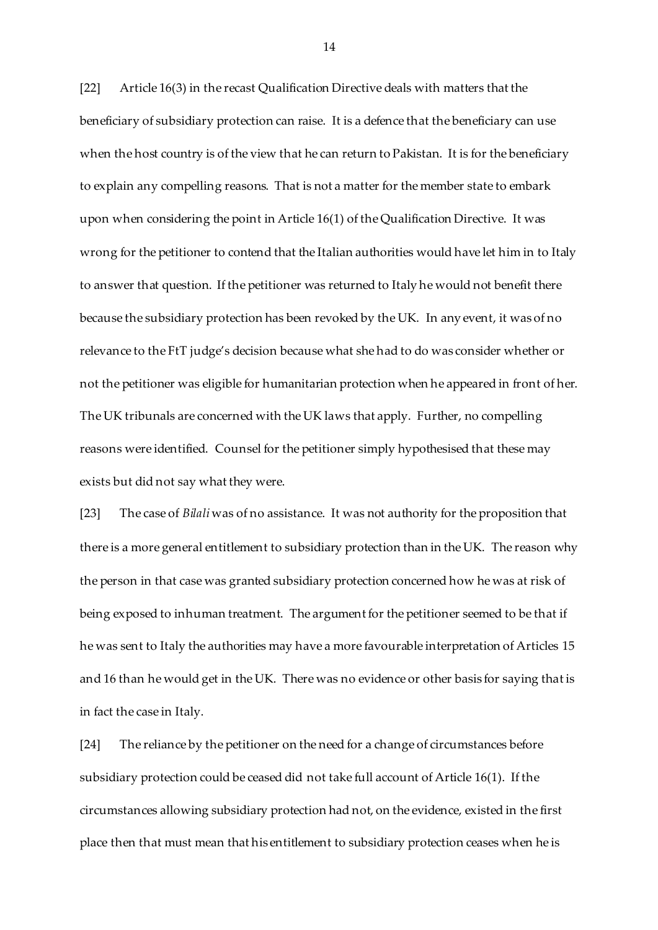[22] Article 16(3) in the recast Qualification Directive deals with matters that the beneficiary of subsidiary protection can raise. It is a defence that the beneficiary can use when the host country is of the view that he can return to Pakistan. It is for the beneficiary to explain any compelling reasons. That is not a matter for the member state to embark upon when considering the point in Article 16(1) of the Qualification Directive. It was wrong for the petitioner to contend that the Italian authorities would have let him in to Italy to answer that question. If the petitioner was returned to Italy he would not benefit there because the subsidiary protection has been revoked by the UK. In any event, it was of no relevance to the FtT judge's decision because what she had to do was consider whether or not the petitioner was eligible for humanitarian protection when he appeared in front of her. The UK tribunals are concerned with the UK laws that apply. Further, no compelling reasons were identified. Counsel for the petitioner simply hypothesised that these may exists but did not say what they were.

[23] The case of *Bilali* was of no assistance. It was not authority for the proposition that there is a more general entitlement to subsidiary protection than in the UK. The reason why the person in that case was granted subsidiary protection concerned how he was at risk of being exposed to inhuman treatment. The argument for the petitioner seemed to be that if he was sent to Italy the authorities may have a more favourable interpretation of Articles 15 and 16 than he would get in the UK. There was no evidence or other basis for saying that is in fact the case in Italy.

[24] The reliance by the petitioner on the need for a change of circumstances before subsidiary protection could be ceased did not take full account of Article 16(1). If the circumstances allowing subsidiary protection had not, on the evidence, existed in the first place then that must mean that his entitlement to subsidiary protection ceases when he is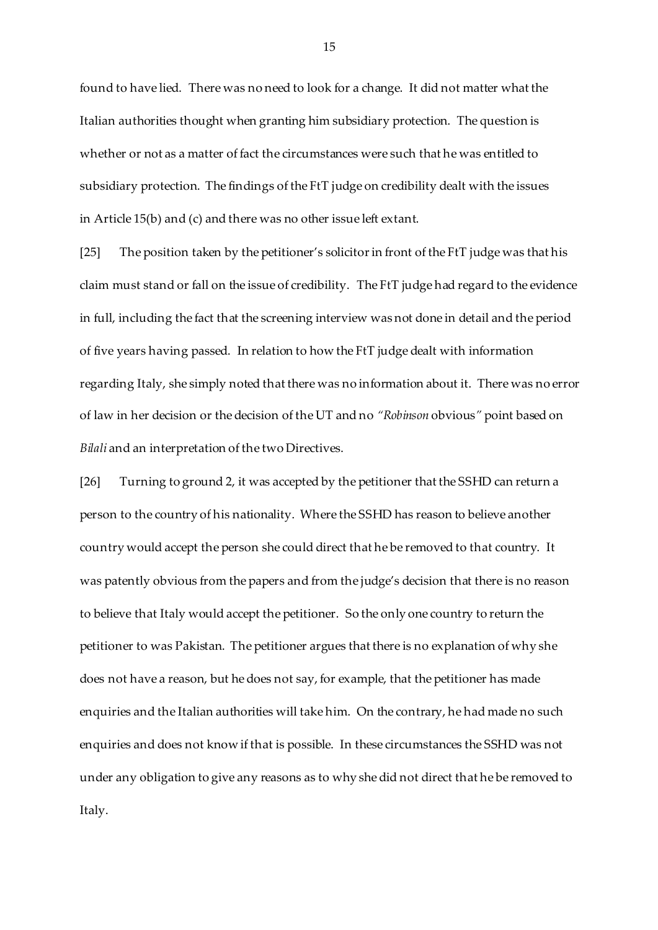found to have lied. There was no need to look for a change. It did not matter what the Italian authorities thought when granting him subsidiary protection. The question is whether or not as a matter of fact the circumstances were such that he was entitled to subsidiary protection. The findings of the FtT judge on credibility dealt with the issues in Article 15(b) and (c) and there was no other issue left extant.

[25] The position taken by the petitioner's solicitor in front of the FtT judge was that his claim must stand or fall on the issue of credibility. The FtT judge had regard to the evidence in full, including the fact that the screening interview was not done in detail and the period of five years having passed. In relation to how the FtT judge dealt with information regarding Italy, she simply noted that there was no information about it. There was no error of law in her decision or the decision of the UT and no *"Robinson* obvious*"* point based on *Bilali* and an interpretation of the two Directives.

[26] Turning to ground 2, it was accepted by the petitioner that the SSHD can return a person to the country of his nationality. Where the SSHD has reason to believe another country would accept the person she could direct that he be removed to that country. It was patently obvious from the papers and from the judge's decision that there is no reason to believe that Italy would accept the petitioner. So the only one country to return the petitioner to was Pakistan. The petitioner argues that there is no explanation of why she does not have a reason, but he does not say, for example, that the petitioner has made enquiries and the Italian authorities will take him. On the contrary, he had made no such enquiries and does not know if that is possible. In these circumstances the SSHD was not under any obligation to give any reasons as to why she did not direct that he be removed to Italy.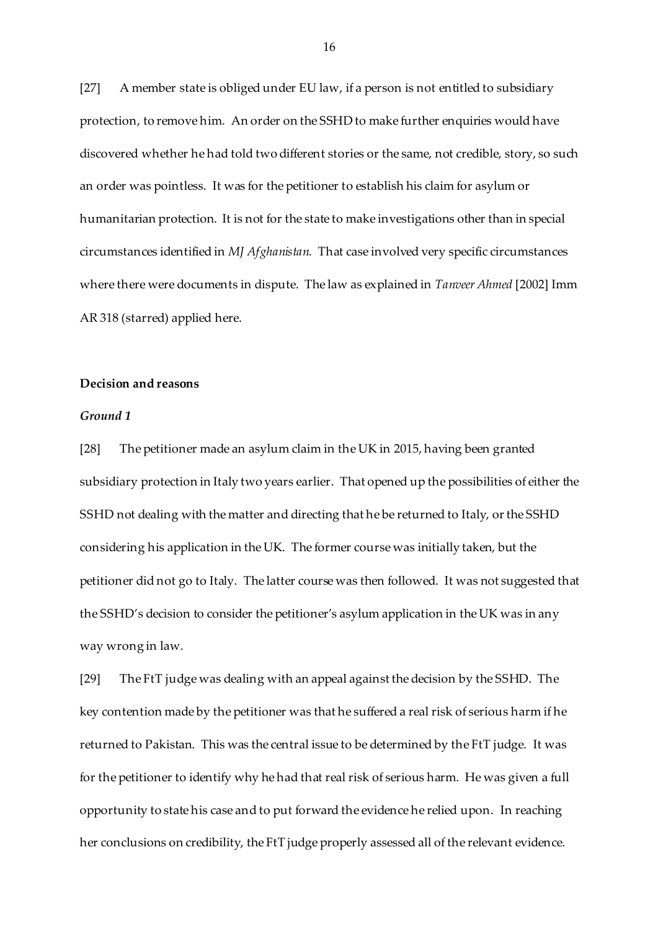[27] A member state is obliged under EU law, if a person is not entitled to subsidiary protection, to remove him. An order on the SSHD to make further enquiries would have discovered whether he had told two different stories or the same, not credible, story, so such an order was pointless. It was for the petitioner to establish his claim for asylum or humanitarian protection. It is not for the state to make investigations other than in special circumstances identified in *MJ Afghanistan.* That case involved very specific circumstances where there were documents in dispute. The law as explained in *Tanveer Ahmed* [2002] Imm AR 318 (starred) applied here.

#### **Decision and reasons**

#### *Ground 1*

[28] The petitioner made an asylum claim in the UK in 2015, having been granted subsidiary protection in Italy two years earlier. That opened up the possibilities of either the SSHD not dealing with the matter and directing that he be returned to Italy, or the SSHD considering his application in the UK. The former course was initially taken, but the petitioner did not go to Italy. The latter course was then followed. It was not suggested that the SSHD's decision to consider the petitioner's asylum application in the UK was in any way wrong in law.

[29] The FtT judge was dealing with an appeal against the decision by the SSHD. The key contention made by the petitioner was that he suffered a real risk of serious harm if he returned to Pakistan. This was the central issue to be determined by the FtT judge. It was for the petitioner to identify why he had that real risk of serious harm. He was given a full opportunity to state his case and to put forward the evidence he relied upon. In reaching her conclusions on credibility, the FtT judge properly assessed all of the relevant evidence.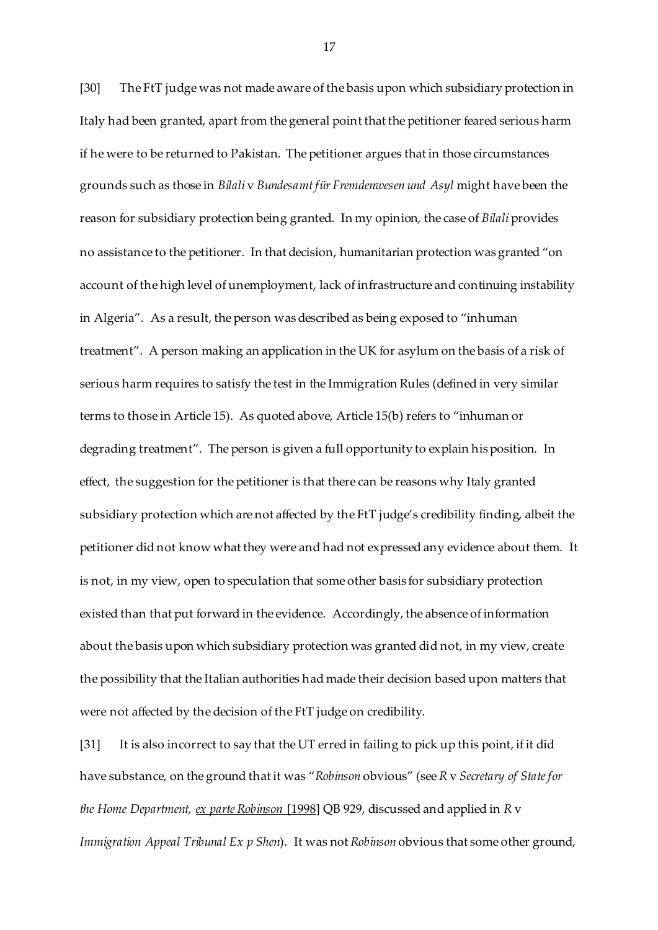[30] The FtT judge was not made aware of the basis upon which subsidiary protection in Italy had been granted, apart from the general point that the petitioner feared serious harm if he were to be returned to Pakistan. The petitioner argues that in those circumstances grounds such as those in *Bilali* v *Bundesamt für Fremdenwesen und Asyl* might have been the reason for subsidiary protection being granted. In my opinion, the case of *Bilali* provides no assistance to the petitioner. In that decision, humanitarian protection was granted "on account of the high level of unemployment, lack of infrastructure and continuing instability in Algeria". As a result, the person was described as being exposed to "inhuman treatment". A person making an application in the UK for asylum on the basis of a risk of serious harm requires to satisfy the test in the Immigration Rules (defined in very similar terms to those in Article 15). As quoted above, Article 15(b) refers to "inhuman or degrading treatment". The person is given a full opportunity to explain his position. In effect, the suggestion for the petitioner is that there can be reasons why Italy granted subsidiary protection which are not affected by the FtT judge's credibility finding, albeit the petitioner did not know what they were and had not expressed any evidence about them. It is not, in my view, open to speculation that some other basis for subsidiary protection existed than that put forward in the evidence. Accordingly, the absence of information about the basis upon which subsidiary protection was granted did not, in my view, create the possibility that the Italian authorities had made their decision based upon matters that were not affected by the decision of the FtT judge on credibility.

[31] It is also incorrect to say that the UT erred in failing to pick up this point, if it did have substance, on the ground that it was "*Robinson* obvious" (see *R* v *Secretary of State for the Home Department, ex parte Robinson* [1998] QB 929, discussed and applied in *R* v *Immigration Appeal Tribunal Ex p Shen*). It was not *Robinson* obvious that some other ground,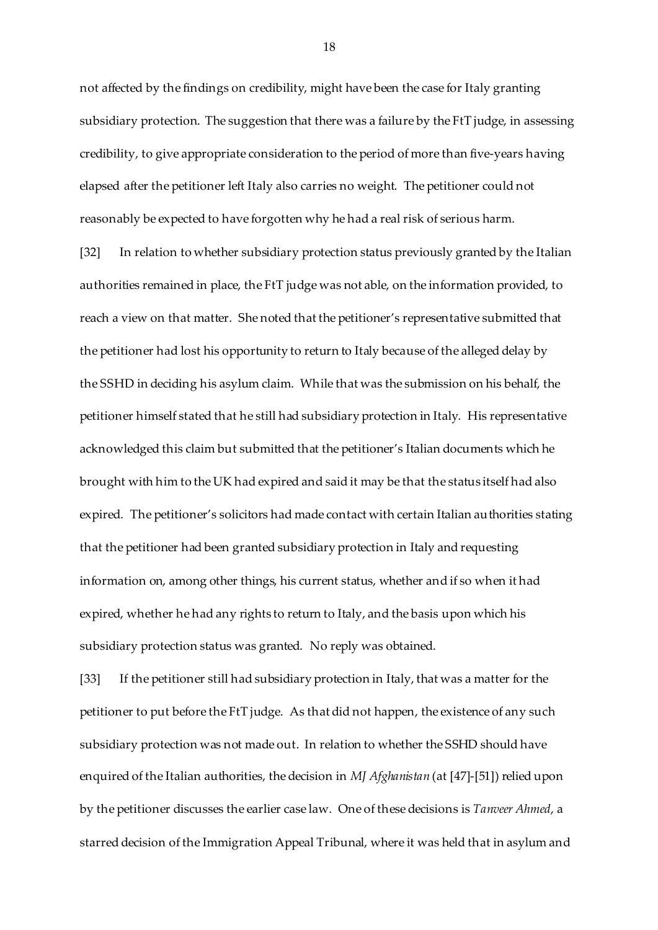not affected by the findings on credibility, might have been the case for Italy granting subsidiary protection. The suggestion that there was a failure by the FtT judge, in assessing credibility, to give appropriate consideration to the period of more than five-years having elapsed after the petitioner left Italy also carries no weight. The petitioner could not reasonably be expected to have forgotten why he had a real risk of serious harm.

[32] In relation to whether subsidiary protection status previously granted by the Italian authorities remained in place, the FtT judge was not able, on the information provided, to reach a view on that matter. She noted that the petitioner's representative submitted that the petitioner had lost his opportunity to return to Italy because of the alleged delay by the SSHD in deciding his asylum claim. While that was the submission on his behalf, the petitioner himself stated that he still had subsidiary protection in Italy. His representative acknowledged this claim but submitted that the petitioner's Italian documents which he brought with him to the UK had expired and said it may be that the status itself had also expired. The petitioner's solicitors had made contact with certain Italian authorities stating that the petitioner had been granted subsidiary protection in Italy and requesting information on, among other things, his current status, whether and if so when it had expired, whether he had any rights to return to Italy, and the basis upon which his subsidiary protection status was granted. No reply was obtained.

[33] If the petitioner still had subsidiary protection in Italy, that was a matter for the petitioner to put before the FtT judge. As that did not happen, the existence of any such subsidiary protection was not made out. In relation to whether the SSHD should have enquired of the Italian authorities, the decision in *MJ Afghanistan* (at [47]-[51]) relied upon by the petitioner discusses the earlier case law. One of these decisions is *Tanveer Ahmed*, a starred decision of the Immigration Appeal Tribunal, where it was held that in asylum and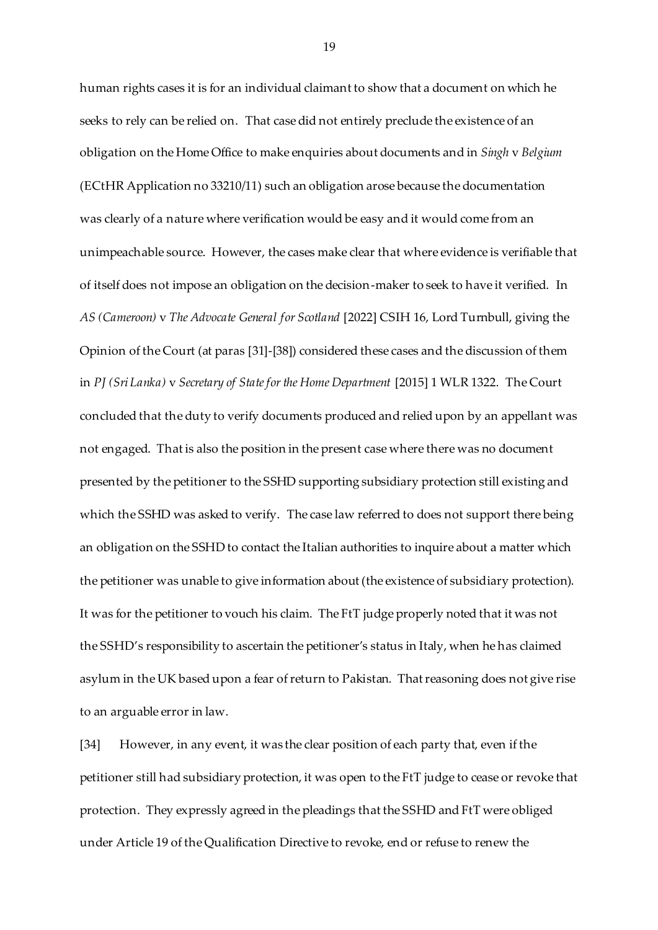human rights cases it is for an individual claimant to show that a document on which he seeks to rely can be relied on. That case did not entirely preclude the existence of an obligation on the Home Office to make enquiries about documents and in *Singh* v *Belgium* (ECtHR Application no 33210/11) such an obligation arose because the documentation was clearly of a nature where verification would be easy and it would come from an unimpeachable source. However, the cases make clear that where evidence is verifiable that of itself does not impose an obligation on the decision-maker to seek to have it verified. In *AS (Cameroon)* v *The Advocate General for Scotland* [2022] CSIH 16, Lord Turnbull, giving the Opinion of the Court (at paras [31]-[38]) considered these cases and the discussion of them in *PJ (Sri Lanka)* v *Secretary of State for the Home Department* [2015] 1 WLR 1322. The Court concluded that the duty to verify documents produced and relied upon by an appellant was not engaged. That is also the position in the present case where there was no document presented by the petitioner to the SSHD supporting subsidiary protection still existing and which the SSHD was asked to verify. The case law referred to does not support there being an obligation on the SSHD to contact the Italian authorities to inquire about a matter which the petitioner was unable to give information about (the existence of subsidiary protection). It was for the petitioner to vouch his claim. The FtT judge properly noted that it was not the SSHD's responsibility to ascertain the petitioner's status in Italy, when he has claimed asylum in the UK based upon a fear of return to Pakistan. That reasoning does not give rise to an arguable error in law.

[34] However, in any event, it was the clear position of each party that, even if the petitioner still had subsidiary protection, it was open to the FtT judge to cease or revoke that protection. They expressly agreed in the pleadings that the SSHD and FtT were obliged under Article 19 of the Qualification Directive to revoke, end or refuse to renew the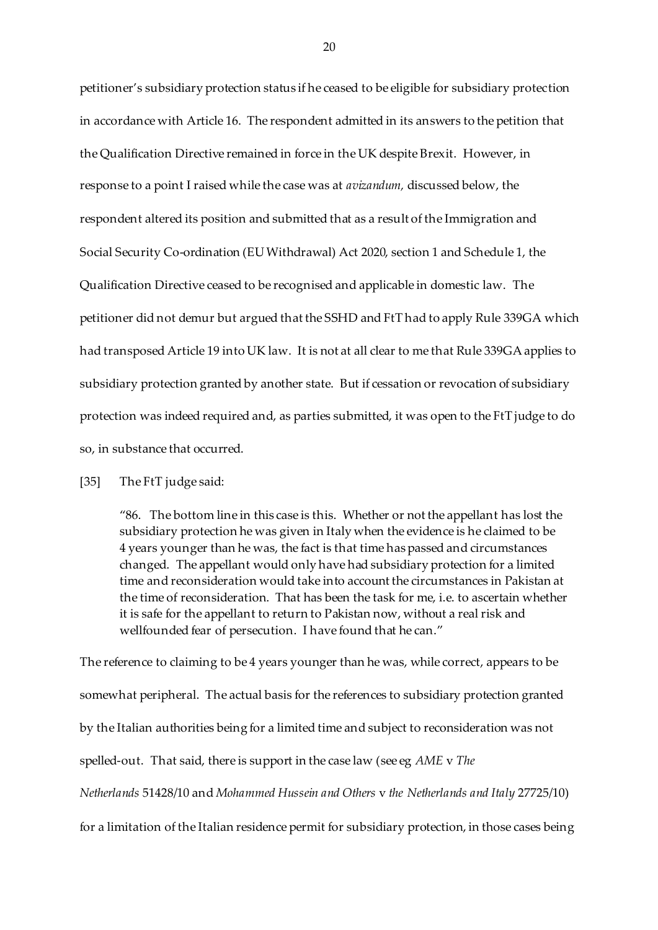petitioner's subsidiary protection status if he ceased to be eligible for subsidiary protection in accordance with Article 16. The respondent admitted in its answers to the petition that the Qualification Directive remained in force in the UK despite Brexit. However, in response to a point I raised while the case was at *avizandum,* discussed below, the respondent altered its position and submitted that as a result of the Immigration and Social Security Co-ordination (EU Withdrawal) Act 2020, section 1 and Schedule 1, the Qualification Directive ceased to be recognised and applicable in domestic law. The petitioner did not demur but argued that the SSHD and FtT had to apply Rule 339GA which had transposed Article 19 into UK law. It is not at all clear to me that Rule 339GA applies to subsidiary protection granted by another state. But if cessation or revocation of subsidiary protection was indeed required and, as parties submitted, it was open to the FtT judge to do so, in substance that occurred.

[35] The FtT judge said:

"86. The bottom line in this case is this. Whether or not the appellant has lost the subsidiary protection he was given in Italy when the evidence is he claimed to be 4 years younger than he was, the fact is that time has passed and circumstances changed. The appellant would only have had subsidiary protection for a limited time and reconsideration would take into account the circumstances in Pakistan at the time of reconsideration. That has been the task for me, i.e. to ascertain whether it is safe for the appellant to return to Pakistan now, without a real risk and wellfounded fear of persecution. I have found that he can."

The reference to claiming to be 4 years younger than he was, while correct, appears to be somewhat peripheral. The actual basis for the references to subsidiary protection granted by the Italian authorities being for a limited time and subject to reconsideration was not spelled-out. That said, there is support in the case law (see eg *AME* v *The Netherlands* 51428/10 and *Mohammed Hussein and Others* v *the Netherlands and Italy* 27725/10) for a limitation of the Italian residence permit for subsidiary protection, in those cases being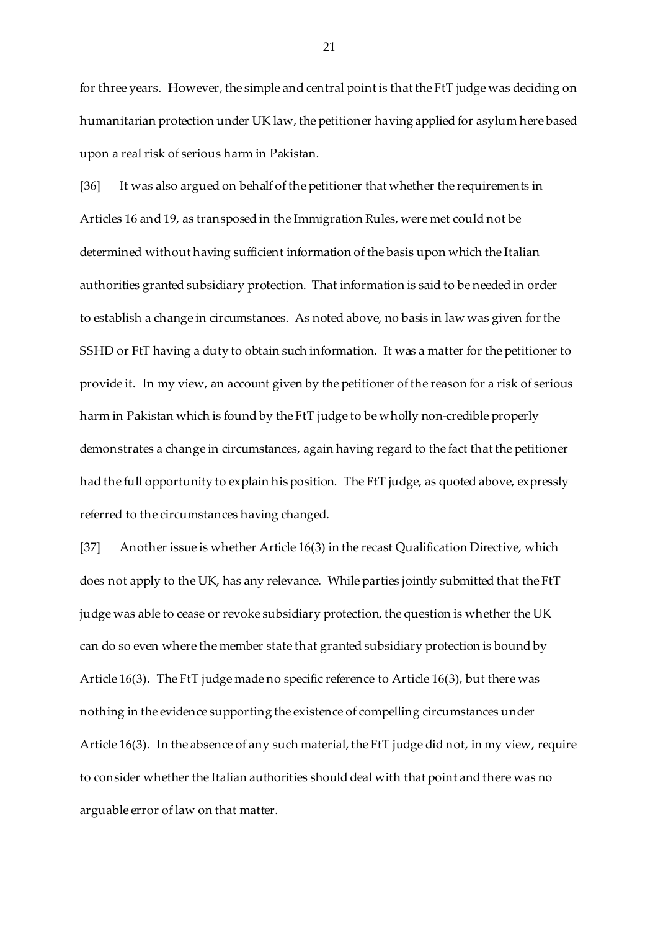for three years. However, the simple and central point is that the FtT judge was deciding on humanitarian protection under UK law, the petitioner having applied for asylum here based upon a real risk of serious harm in Pakistan.

[36] It was also argued on behalf of the petitioner that whether the requirements in Articles 16 and 19, as transposed in the Immigration Rules, were met could not be determined without having sufficient information of the basis upon which the Italian authorities granted subsidiary protection. That information is said to be needed in order to establish a change in circumstances. As noted above, no basis in law was given for the SSHD or FtT having a duty to obtain such information. It was a matter for the petitioner to provide it. In my view, an account given by the petitioner of the reason for a risk of serious harm in Pakistan which is found by the FtT judge to be wholly non-credible properly demonstrates a change in circumstances, again having regard to the fact that the petitioner had the full opportunity to explain his position. The FtT judge, as quoted above, expressly referred to the circumstances having changed.

[37] Another issue is whether Article 16(3) in the recast Qualification Directive, which does not apply to the UK, has any relevance. While parties jointly submitted that the FtT judge was able to cease or revoke subsidiary protection, the question is whether the UK can do so even where the member state that granted subsidiary protection is bound by Article 16(3). The FtT judge made no specific reference to Article 16(3), but there was nothing in the evidence supporting the existence of compelling circumstances under Article 16(3). In the absence of any such material, the FtT judge did not, in my view, require to consider whether the Italian authorities should deal with that point and there was no arguable error of law on that matter.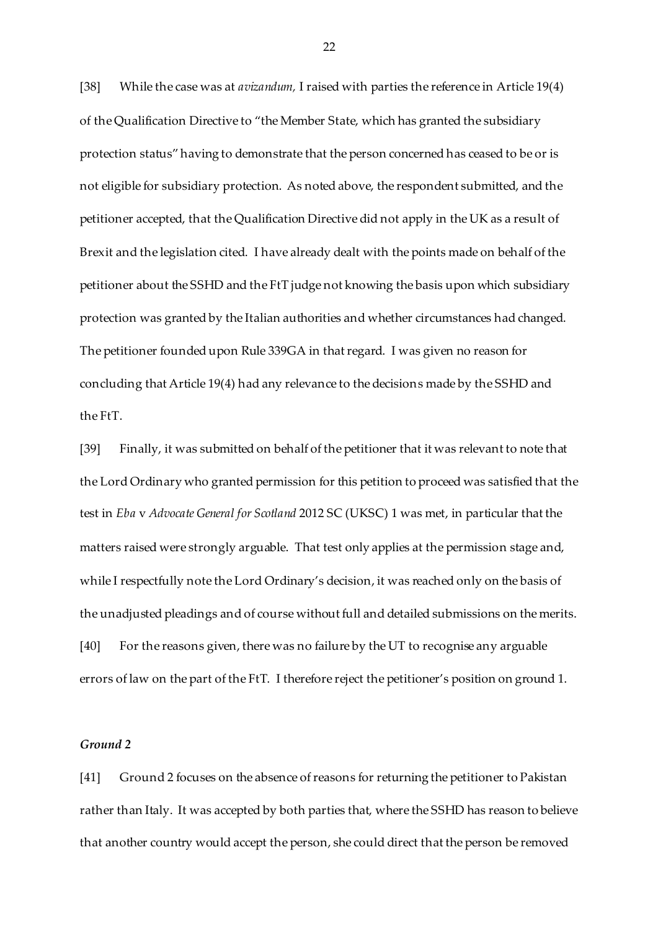[38] While the case was at *avizandum,* I raised with parties the reference in Article 19(4) of the Qualification Directive to "the Member State, which has granted the subsidiary protection status" having to demonstrate that the person concerned has ceased to be or is not eligible for subsidiary protection. As noted above, the respondent submitted, and the petitioner accepted, that the Qualification Directive did not apply in the UK as a result of Brexit and the legislation cited. I have already dealt with the points made on behalf of the petitioner about the SSHD and the FtT judge not knowing the basis upon which subsidiary protection was granted by the Italian authorities and whether circumstances had changed. The petitioner founded upon Rule 339GA in that regard. I was given no reason for concluding that Article 19(4) had any relevance to the decisions made by the SSHD and the FtT.

[39] Finally, it was submitted on behalf of the petitioner that it was relevant to note that the Lord Ordinary who granted permission for this petition to proceed was satisfied that the test in *Eba* v *Advocate General for Scotland* 2012 SC (UKSC) 1 was met, in particular that the matters raised were strongly arguable. That test only applies at the permission stage and, while I respectfully note the Lord Ordinary's decision, it was reached only on the basis of the unadjusted pleadings and of course without full and detailed submissions on the merits. [40] For the reasons given, there was no failure by the UT to recognise any arguable errors of law on the part of the FtT. I therefore reject the petitioner's position on ground 1.

#### *Ground 2*

[41] Ground 2 focuses on the absence of reasons for returning the petitioner to Pakistan rather than Italy. It was accepted by both parties that, where the SSHD has reason to believe that another country would accept the person, she could direct that the person be removed